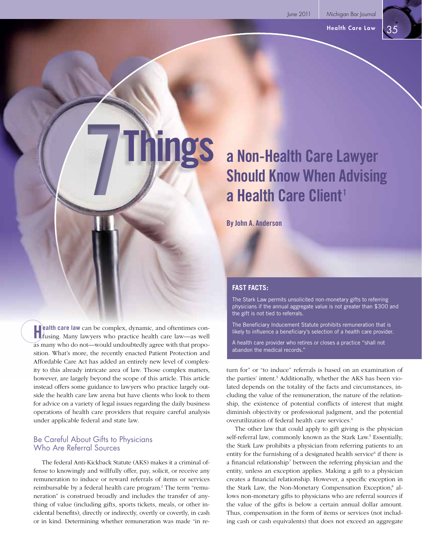# **a Non-Health Care Lawyer Should Know When Advising a Health Care Client<sup>1</sup>**

**By John A. Anderson**

**Things 7**

#### **Health care law** can be complex, dynamic, and oftentimes con-<br>fusing. Many lawyers who practice health care law—as well as many who do not—would undoubtedly agree with that proposition. What's more, the recently enacted Patient Protection and Affordable Care Act has added an entirely new level of complexity to this already intricate area of law. Those complex matters, however, are largely beyond the scope of this article. This article instead offers some guidance to lawyers who practice largely outside the health care law arena but have clients who look to them for advice on a variety of legal issues regarding the daily business operations of health care providers that require careful analysis under applicable federal and state law.

#### Be Careful About Gifts to Physicians Who Are Referral Sources

The federal Anti-Kickback Statute (AKS) makes it a criminal offense to knowingly and willfully offer, pay, solicit, or receive any remuneration to induce or reward referrals of items or services reimbursable by a federal health care program.<sup>2</sup> The term "remuneration" is construed broadly and includes the transfer of anything of value (including gifts, sports tickets, meals, or other incidental benefits), directly or indirectly, overtly or covertly, in cash or in kind. Determining whether remuneration was made "in re-

#### **FAST FACTS:**

The Stark Law permits unsolicited non-monetary gifts to referring physicians if the annual aggregate value is not greater than \$300 and the gift is not tied to referrals.

The Beneficiary Inducement Statute prohibits remuneration that is likely to influence a beneficiary's selection of a health care provider.

A health care provider who retires or closes a practice "shall not abandon the medical records."

turn for" or "to induce" referrals is based on an examination of the parties' intent.<sup>3</sup> Additionally, whether the AKS has been violated depends on the totality of the facts and circumstances, including the value of the remuneration, the nature of the relationship, the existence of potential conflicts of interest that might diminish objectivity or professional judgment, and the potential overutilization of federal health care services.4

The other law that could apply to gift giving is the physician self-referral law, commonly known as the Stark Law.<sup>5</sup> Essentially, the Stark Law prohibits a physician from referring patients to an entity for the furnishing of a designated health service<sup>6</sup> if there is a financial relationship<sup>7</sup> between the referring physician and the entity, unless an exception applies. Making a gift to a physician creates a financial relationship. However, a specific exception in the Stark Law, the Non-Monetary Compensation Exception,<sup>8</sup> allows non-monetary gifts to physicians who are referral sources if the value of the gifts is below a certain annual dollar amount. Thus, compensation in the form of items or services (not including cash or cash equivalents) that does not exceed an aggregate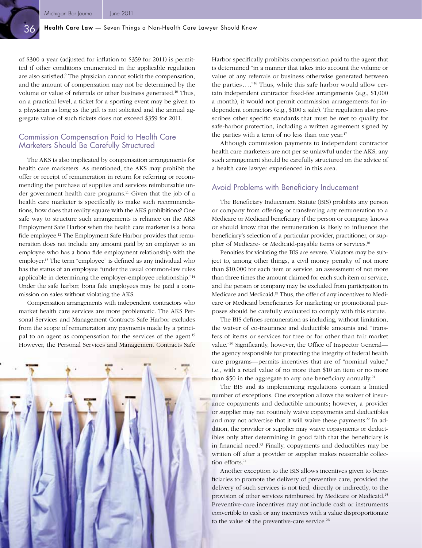of \$300 a year (adjusted for inflation to \$359 for 2011) is permitted if other conditions enumerated in the applicable regulation are also satisfied.<sup>9</sup> The physician cannot solicit the compensation, and the amount of compensation may not be determined by the volume or value of referrals or other business generated.10 Thus, on a practical level, a ticket for a sporting event may be given to a physician as long as the gift is not solicited and the annual aggregate value of such tickets does not exceed \$359 for 2011.

#### Commission Compensation Paid to Health Care Marketers Should Be Carefully Structured

The AKS is also implicated by compensation arrangements for health care marketers. As mentioned, the AKS may prohibit the offer or receipt of remuneration in return for referring or recommending the purchase of supplies and services reimbursable under government health care programs.<sup>11</sup> Given that the job of a health care marketer is specifically to make such recommendations, how does that reality square with the AKS prohibitions? One safe way to structure such arrangements is reliance on the AKS Employment Safe Harbor when the health care marketer is a bona fide employee.<sup>12</sup> The Employment Safe Harbor provides that remuneration does not include any amount paid by an employer to an employee who has a bona fide employment relationship with the employer.<sup>13</sup> The term "employee" is defined as any individual who has the status of an employee "under the usual common-law rules applicable in determining the employer-employee relationship."14 Under the safe harbor, bona fide employees may be paid a commission on sales without violating the AKS.

Compensation arrangements with independent contractors who market health care services are more problematic. The AKS Personal Services and Management Contracts Safe Harbor excludes from the scope of remuneration any payments made by a principal to an agent as compensation for the services of the agent.<sup>15</sup> However, the Personal Services and Management Contracts Safe



Harbor specifically prohibits compensation paid to the agent that is determined "in a manner that takes into account the volume or value of any referrals or business otherwise generated between the parties...."16 Thus, while this safe harbor would allow certain independent contractor fixed-fee arrangements (e.g., \$1,000) a month), it would not permit commission arrangements for independent contractors (e.g., \$100 a sale). The regulation also prescribes other specific standards that must be met to qualify for safe-harbor protection, including a written agreement signed by the parties with a term of no less than one year.<sup>17</sup>

Although commission payments to independent contractor health care marketers are not per se unlawful under the AKS, any such arrangement should be carefully structured on the advice of a health care lawyer experienced in this area.

#### Avoid Problems with Beneficiary Inducement

The Beneficiary Inducement Statute (BIS) prohibits any person or company from offering or transferring any remuneration to a Medicare or Medicaid beneficiary if the person or company knows or should know that the remuneration is likely to influence the beneficiary's selection of a particular provider, practitioner, or supplier of Medicare- or Medicaid-payable items or services.<sup>18</sup>

Penalties for violating the BIS are severe. Violators may be subject to, among other things, a civil money penalty of not more than \$10,000 for each item or service, an assessment of not more than three times the amount claimed for each such item or service, and the person or company may be excluded from participation in Medicare and Medicaid.19 Thus, the offer of any incentives to Medicare or Medicaid beneficiaries for marketing or promotional purposes should be carefully evaluated to comply with this statute.

The BIS defines remuneration as including, without limitation, the waiver of co-insurance and deductible amounts and "transfers of items or services for free or for other than fair market value."<sup>20</sup> Significantly, however, the Office of Inspector General the agency responsible for protecting the integrity of federal health care programs—permits incentives that are of "nominal value," i.e., with a retail value of no more than \$10 an item or no more than \$50 in the aggregate to any one beneficiary annually.<sup>21</sup>

The BIS and its implementing regulations contain a limited number of exceptions. One exception allows the waiver of insurance copayments and deductible amounts; however, a provider or supplier may not routinely waive copayments and deductibles and may not advertise that it will waive these payments.<sup>22</sup> In addition, the provider or supplier may waive copayments or deductibles only after determining in good faith that the beneficiary is in financial need.<sup>23</sup> Finally, copayments and deductibles may be written off after a provider or supplier makes reasonable collection efforts.<sup>24</sup>

Another exception to the BIS allows incentives given to beneficiaries to promote the delivery of preventive care, provided the delivery of such services is not tied, directly or indirectly, to the provision of other services reimbursed by Medicare or Medicaid.25 Preventive-care incentives may not include cash or instruments convertible to cash or any incentives with a value disproportionate to the value of the preventive-care service.<sup>26</sup>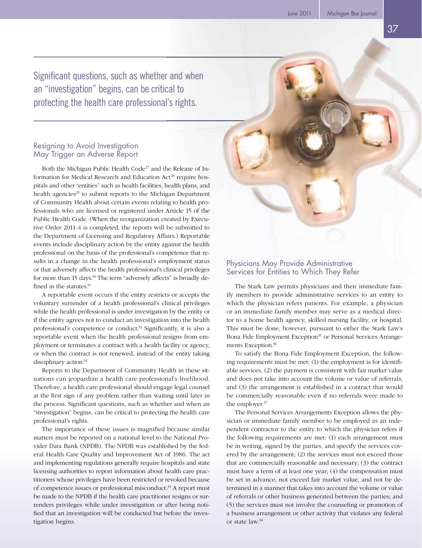Significant questions, such as whether and when an "investigation" begins, can be critical to protecting the health care professional's rights.

#### Resigning to Avoid Investigation May Trigger an Adverse Report

Both the Michigan Public Health Code<sup>27</sup> and the Release of Information for Medical Research and Education Act<sup>28</sup> require hospitals and other "entities" such as health facilities, health plans, and health agencies<sup>29</sup> to submit reports to the Michigan Department of Community Health about certain events relating to health professionals who are licensed or registered under Article 15 of the Public Health Code. (When the reorganization created by Executive Order 2011-4 is completed, the reports will be submitted to the Department of Licensing and Regulatory Affairs.) Reportable events include disciplinary action by the entity against the health professional on the basis of the professional's competence that results in a change in the health professional's employment status or that adversely affects the health professional's clinical privileges for more than 15 days.<sup>30</sup> The term "adversely affects" is broadly defined in the statutes.<sup>31</sup>

A reportable event occurs if the entity restricts or accepts the voluntary surrender of a health professional's clinical privileges while the health professional is under investigation by the entity or if the entity agrees not to conduct an investigation into the health professional's competence or conduct.<sup>32</sup> Significantly, it is also a reportable event when the health professional resigns from employment or terminates a contract with a health facility or agency, or when the contract is not renewed, instead of the entity taking disciplinary action.<sup>33</sup>

Reports to the Department of Community Health in these situations can jeopardize a health care professional's livelihood. Therefore, a health care professional should engage legal counsel at the first sign of any problem rather than waiting until later in the process. Significant questions, such as whether and when an "investigation" begins, can be critical to protecting the health care professional's rights.

The importance of these issues is magnified because similar matters must be reported on a national level to the National Provider Data Bank (NPDB). The NPDB was established by the federal Health Care Quality and Improvement Act of 1986. The act and implementing regulations generally require hospitals and state licensing authorities to report information about health care practitioners whose privileges have been restricted or revoked because of competence issues or professional misconduct.<sup>34</sup> A report must be made to the NPDB if the health care practitioner resigns or surrenders privileges while under investigation or after being notified that an investigation will be conducted but before the investigation begins.

## Physicians May Provide Administrative Services for Entities to Which They Refer

The Stark Law permits physicians and their immediate family members to provide administrative services to an entity to which the physician refers patients. For example, a physician or an immediate family member may serve as a medical director to a home health agency, skilled nursing facility, or hospital. This must be done, however, pursuant to either the Stark Law's Bona Fide Employment Exception<sup>35</sup> or Personal Services Arrangements Exception.36

To satisfy the Bona Fide Employment Exception, the following requirements must be met: (1) the employment is for identifiable services, (2) the payment is consistent with fair market value and does not take into account the volume or value of referrals, and (3) the arrangement is established in a contract that would be commercially reasonable even if no referrals were made to the employer.<sup>37</sup>

The Personal Services Arrangements Exception allows the physician or immediate family member to be employed as an independent contractor to the entity to which the physician refers if the following requirements are met: (1) each arrangement must be in writing, signed by the parties, and specify the services covered by the arrangement; (2) the services must not exceed those that are commercially reasonable and necessary; (3) the contract must have a term of at least one year; (4) the compensation must be set in advance, not exceed fair market value, and not be determined in a manner that takes into account the volume or value of referrals or other business generated between the parties; and (5) the services must not involve the counseling or promotion of a business arrangement or other activity that violates any federal or state law.38